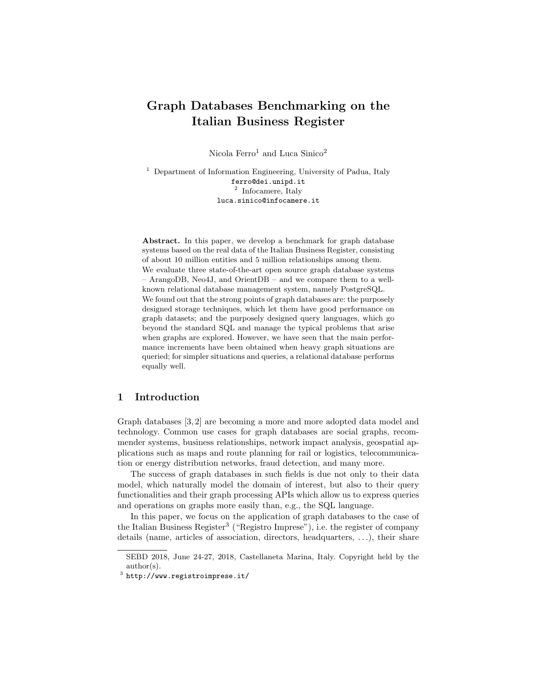# Graph Databases Benchmarking on the Italian Business Register

Nicola Ferro<sup>1</sup> and Luca Sinico<sup>2</sup>

<sup>1</sup> Department of Information Engineering, University of Padua, Italy ferro@dei.unipd.it 2 Infocamere, Italy luca.sinico@infocamere.it

Abstract. In this paper, we develop a benchmark for graph database systems based on the real data of the Italian Business Register, consisting of about 10 million entities and 5 million relationships among them. We evaluate three state-of-the-art open source graph database systems – ArangoDB, Neo4J, and OrientDB – and we compare them to a wellknown relational database management system, namely PostgreSQL. We found out that the strong points of graph databases are: the purposely designed storage techniques, which let them have good performance on graph datasets; and the purposely designed query languages, which go beyond the standard SQL and manage the typical problems that arise when graphs are explored. However, we have seen that the main performance increments have been obtained when heavy graph situations are queried; for simpler situations and queries, a relational database performs equally well.

# 1 Introduction

Graph databases [3, 2] are becoming a more and more adopted data model and technology. Common use cases for graph databases are social graphs, recommender systems, business relationships, network impact analysis, geospatial applications such as maps and route planning for rail or logistics, telecommunication or energy distribution networks, fraud detection, and many more.

The success of graph databases in such fields is due not only to their data model, which naturally model the domain of interest, but also to their query functionalities and their graph processing APIs which allow us to express queries and operations on graphs more easily than, e.g., the SQL language.

In this paper, we focus on the application of graph databases to the case of the Italian Business Register<sup>3</sup> ("Registro Imprese"), i.e. the register of company details (name, articles of association, directors, headquarters, . . .), their share

SEBD 2018, June 24-27, 2018, Castellaneta Marina, Italy. Copyright held by the author(s).

 $^3$  http://www.registroimprese.it/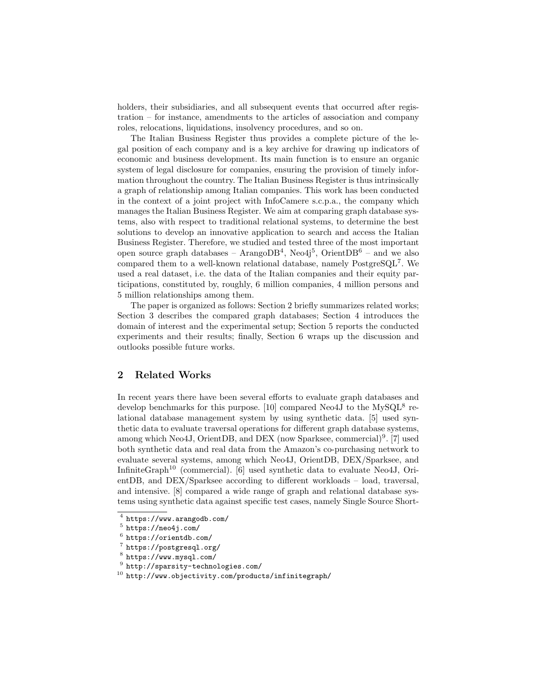holders, their subsidiaries, and all subsequent events that occurred after registration – for instance, amendments to the articles of association and company roles, relocations, liquidations, insolvency procedures, and so on.

The Italian Business Register thus provides a complete picture of the legal position of each company and is a key archive for drawing up indicators of economic and business development. Its main function is to ensure an organic system of legal disclosure for companies, ensuring the provision of timely information throughout the country. The Italian Business Register is thus intrinsically a graph of relationship among Italian companies. This work has been conducted in the context of a joint project with InfoCamere s.c.p.a., the company which manages the Italian Business Register. We aim at comparing graph database systems, also with respect to traditional relational systems, to determine the best solutions to develop an innovative application to search and access the Italian Business Register. Therefore, we studied and tested three of the most important open source graph databases – Arango $DB^4$ , Neo4j<sup>5</sup>, Orient $DB^6$  – and we also compared them to a well-known relational database, namely PostgreSQL<sup>7</sup>. We used a real dataset, i.e. the data of the Italian companies and their equity participations, constituted by, roughly, 6 million companies, 4 million persons and 5 million relationships among them.

The paper is organized as follows: Section 2 briefly summarizes related works; Section 3 describes the compared graph databases; Section 4 introduces the domain of interest and the experimental setup; Section 5 reports the conducted experiments and their results; finally, Section 6 wraps up the discussion and outlooks possible future works.

# 2 Related Works

In recent years there have been several efforts to evaluate graph databases and develop benchmarks for this purpose. [10] compared Neo4J to the  $MySQL^8$  relational database management system by using synthetic data. [5] used synthetic data to evaluate traversal operations for different graph database systems, among which Neo4J, OrientDB, and DEX (now Sparksee, commercial)<sup>9</sup>. [7] used both synthetic data and real data from the Amazon's co-purchasing network to evaluate several systems, among which Neo4J, OrientDB, DEX/Sparksee, and InfiniteGraph<sup>10</sup> (commercial). [6] used synthetic data to evaluate Neo4J, OrientDB, and DEX/Sparksee according to different workloads – load, traversal, and intensive. [8] compared a wide range of graph and relational database systems using synthetic data against specific test cases, namely Single Source Short-

 $^4$  https://www.arangodb.com/

 $^5$  https://neo4j.com/

 $<sup>6</sup>$  https://orientdb.com/</sup>

<sup>7</sup> https://postgresql.org/

<sup>8</sup> https://www.mysql.com/

 $^9$  http://sparsity-technologies.com/

 $^{10}$  http://www.objectivity.com/products/infinitegraph/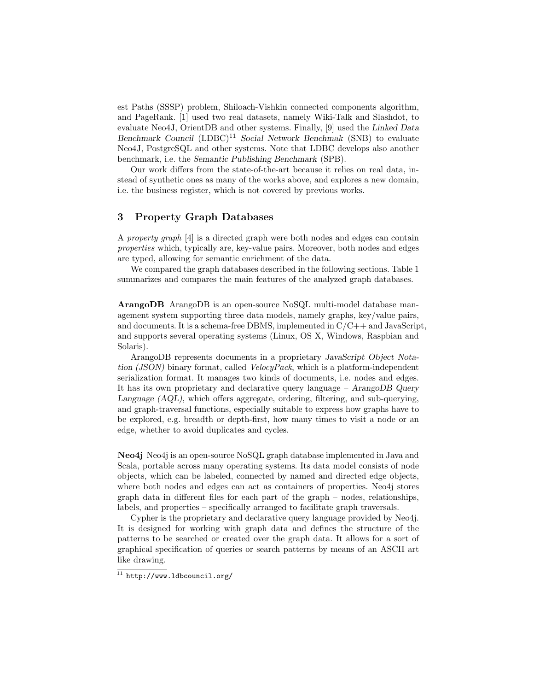est Paths (SSSP) problem, Shiloach-Vishkin connected components algorithm, and PageRank. [1] used two real datasets, namely Wiki-Talk and Slashdot, to evaluate Neo4J, OrientDB and other systems. Finally, [9] used the Linked Data Benchmark Council  $(LDBC)^{11}$  Social Network Benchmak (SNB) to evaluate Neo4J, PostgreSQL and other systems. Note that LDBC develops also another benchmark, i.e. the Semantic Publishing Benchmark (SPB).

Our work differs from the state-of-the-art because it relies on real data, instead of synthetic ones as many of the works above, and explores a new domain, i.e. the business register, which is not covered by previous works.

# 3 Property Graph Databases

A property graph [4] is a directed graph were both nodes and edges can contain properties which, typically are, key-value pairs. Moreover, both nodes and edges are typed, allowing for semantic enrichment of the data.

We compared the graph databases described in the following sections. Table 1 summarizes and compares the main features of the analyzed graph databases.

ArangoDB ArangoDB is an open-source NoSQL multi-model database management system supporting three data models, namely graphs, key/value pairs, and documents. It is a schema-free DBMS, implemented in C/C++ and JavaScript, and supports several operating systems (Linux, OS X, Windows, Raspbian and Solaris).

ArangoDB represents documents in a proprietary JavaScript Object Notation (JSON) binary format, called VelocyPack, which is a platform-independent serialization format. It manages two kinds of documents, i.e. nodes and edges. It has its own proprietary and declarative query language – ArangoDB Query Language (AQL), which offers aggregate, ordering, filtering, and sub-querying, and graph-traversal functions, especially suitable to express how graphs have to be explored, e.g. breadth or depth-first, how many times to visit a node or an edge, whether to avoid duplicates and cycles.

Neo4j Neo4j is an open-source NoSQL graph database implemented in Java and Scala, portable across many operating systems. Its data model consists of node objects, which can be labeled, connected by named and directed edge objects, where both nodes and edges can act as containers of properties. Neo4j stores graph data in different files for each part of the graph – nodes, relationships, labels, and properties – specifically arranged to facilitate graph traversals.

Cypher is the proprietary and declarative query language provided by Neo4j. It is designed for working with graph data and defines the structure of the patterns to be searched or created over the graph data. It allows for a sort of graphical specification of queries or search patterns by means of an ASCII art like drawing.

 $\overline{11}$  http://www.ldbcouncil.org/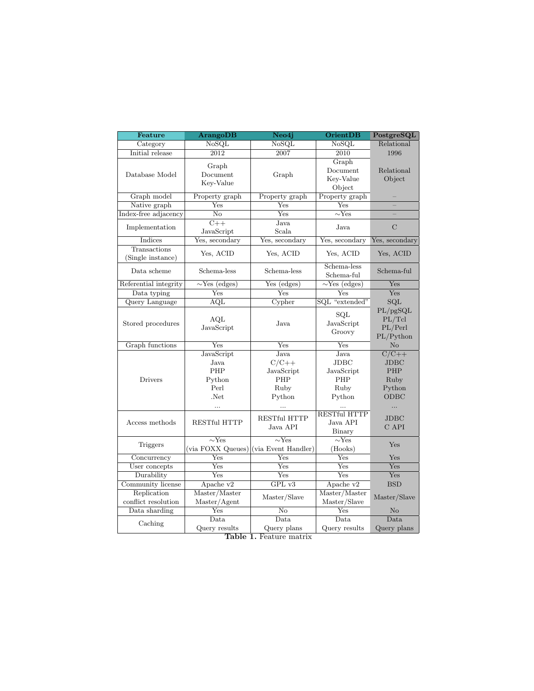| Feature                 | <b>ArangoDB</b>               | Neo4j                    | <b>OrientDB</b>               | PostgreSQL                              |
|-------------------------|-------------------------------|--------------------------|-------------------------------|-----------------------------------------|
| Category                | NoSQL                         | NoSQL                    | NoSQL                         | Relational                              |
| Initial release         | 2012                          | 2007                     | 2010                          | 1996                                    |
|                         | Graph                         |                          | Graph                         |                                         |
| Database Model          | Document<br>Key-Value         | Graph                    | Document                      | Relational                              |
|                         |                               |                          | Key-Value                     | Object                                  |
|                         |                               |                          | Object                        |                                         |
| Graph model             | Property graph                | Property graph           | Property graph                |                                         |
| Native graph            | Yes                           | Yes                      | Yes                           |                                         |
| Index-free adjacency    | $\overline{\text{No}}$        | Yes                      | $\overline{\sim}$ Yes         |                                         |
| Implementation          | $\overline{C++}$              | Java                     | Java                          | $\rm C$                                 |
|                         | JavaScript                    | Scala                    |                               |                                         |
| Indices                 | Yes, secondary                | Yes, secondary           | Yes, secondary                | Yes, secondary                          |
| Transactions            | Yes, ACID                     | Yes, ACID                | Yes, ACID                     | Yes, ACID                               |
| (Single instance)       |                               |                          |                               |                                         |
| Data scheme             | Schema-less                   | Schema-less              | Schema-less                   | Schema-ful                              |
|                         |                               |                          | Schema-ful                    |                                         |
| Referential integrity   | $\overline{\sim}$ Yes (edges) | Yes (edges)              | $\overline{\sim}$ Yes (edges) | Yes                                     |
| Data typing             | Yes                           | Yes                      | Yes                           | Yes                                     |
| Query Language          | AQL                           | Cypher                   | SQL "extended"                | $\overline{\text{SQL}}$                 |
| Stored procedures       | AQL<br>JavaScript             | Java                     | SQL                           | $\overline{\mathrm{PL}/\mathrm{pgSQL}}$ |
|                         |                               |                          | JavaScript                    | PL/Tcl                                  |
|                         |                               |                          | Groovy                        | PL/Perl                                 |
| Graph functions         | Yes                           | Yes                      | Yes                           | PL/Python<br>N <sub>o</sub>             |
|                         | JavaScript                    | Java                     | Java                          | $\overline{C/C++}$                      |
| Drivers                 | Java                          | $C/C++$                  | <b>JDBC</b>                   | JDBC                                    |
|                         | PHP                           |                          |                               | PHP                                     |
|                         |                               | JavaScript               | JavaScript                    |                                         |
|                         | Python                        | PHP                      | PHP                           | Ruby                                    |
|                         | Perl                          | Ruby                     | Ruby                          | Python                                  |
|                         | .Net                          | Python                   | Python                        | ODBC                                    |
|                         | $\cdots$                      | $\ddotsc$                | .                             |                                         |
| Access methods          | <b>RESTful HTTP</b>           | RESTful HTTP<br>Java API | <b>RESTful HTTP</b>           | <b>JDBC</b>                             |
|                         |                               |                          | Java API                      | C API                                   |
|                         |                               |                          | Binary                        |                                         |
| Triggers                | $\overline{\sim}$ Yes         | $\overline{\sim}$ Yes    | $\overline{\sim}$ Yes         | Yes                                     |
|                         | (via FOXX Queues)             | (via Event Handler)      | (Hooks)                       |                                         |
| Concurrency             | Yes                           | Yes                      | Yes                           | Yes                                     |
| User concepts           | $\overline{\mathrm{Yes}}$     | Yes                      | Yes                           | Yes                                     |
| Durability              | Yes                           | Yes                      | Yes                           | Yes                                     |
| Community license       | Apache v2                     | GPL v3                   | Apache v2                     | <b>BSD</b>                              |
| Replication             | Master/Master                 | Master/Slave             | Master/Master                 | Master/Slave                            |
| conflict resolution     | Master/Agent                  |                          | Master/Slave                  |                                         |
| Data sharding           | Yes                           | $\overline{\text{No}}$   | Yes                           | $\overline{\text{No}}$                  |
| Caching                 | Data                          | Data                     | Data                          | Data                                    |
|                         | Query results                 | Query plans              | Query results                 | Query plans                             |
| Table 1. Feature matrix |                               |                          |                               |                                         |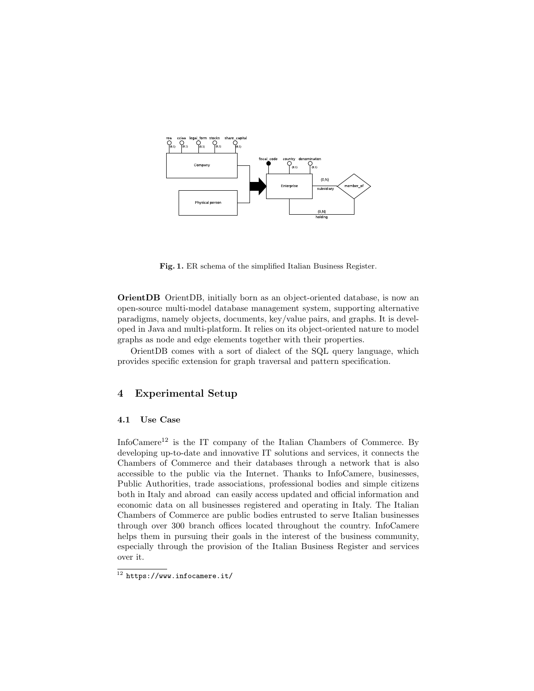

Fig. 1. ER schema of the simplified Italian Business Register.

OrientDB OrientDB, initially born as an object-oriented database, is now an open-source multi-model database management system, supporting alternative paradigms, namely objects, documents, key/value pairs, and graphs. It is developed in Java and multi-platform. It relies on its object-oriented nature to model graphs as node and edge elements together with their properties.

OrientDB comes with a sort of dialect of the SQL query language, which provides specific extension for graph traversal and pattern specification.

# 4 Experimental Setup

## 4.1 Use Case

InfoCamere<sup>12</sup> is the IT company of the Italian Chambers of Commerce. By developing up-to-date and innovative IT solutions and services, it connects the Chambers of Commerce and their databases through a network that is also accessible to the public via the Internet. Thanks to InfoCamere, businesses, Public Authorities, trade associations, professional bodies and simple citizens both in Italy and abroad can easily access updated and official information and economic data on all businesses registered and operating in Italy. The Italian Chambers of Commerce are public bodies entrusted to serve Italian businesses through over 300 branch offices located throughout the country. InfoCamere helps them in pursuing their goals in the interest of the business community, especially through the provision of the Italian Business Register and services over it.

 $\frac{12 \text{ https://www.inforcement.it/}}{}$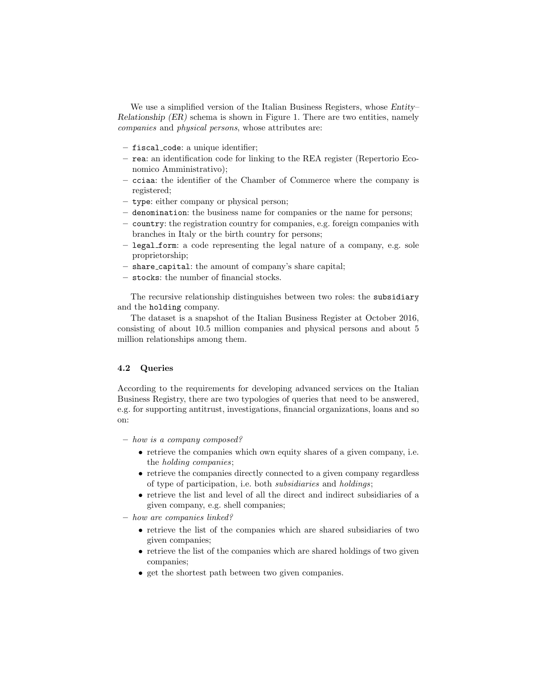We use a simplified version of the Italian Business Registers, whose Entity-Relationship (ER) schema is shown in Figure 1. There are two entities, namely companies and physical persons, whose attributes are:

- fiscal code: a unique identifier;
- rea: an identification code for linking to the REA register (Repertorio Economico Amministrativo);
- cciaa: the identifier of the Chamber of Commerce where the company is registered;
- type: either company or physical person;
- denomination: the business name for companies or the name for persons;
- country: the registration country for companies, e.g. foreign companies with branches in Italy or the birth country for persons;
- legal form: a code representing the legal nature of a company, e.g. sole proprietorship;
- share capital: the amount of company's share capital;
- stocks: the number of financial stocks.

The recursive relationship distinguishes between two roles: the subsidiary and the holding company.

The dataset is a snapshot of the Italian Business Register at October 2016, consisting of about 10.5 million companies and physical persons and about 5 million relationships among them.

### 4.2 Queries

According to the requirements for developing advanced services on the Italian Business Registry, there are two typologies of queries that need to be answered, e.g. for supporting antitrust, investigations, financial organizations, loans and so on:

- how is a company composed?
	- retrieve the companies which own equity shares of a given company, i.e. the holding companies;
	- retrieve the companies directly connected to a given company regardless of type of participation, i.e. both subsidiaries and holdings;
	- retrieve the list and level of all the direct and indirect subsidiaries of a given company, e.g. shell companies;

– how are companies linked?

- retrieve the list of the companies which are shared subsidiaries of two given companies;
- retrieve the list of the companies which are shared holdings of two given companies;
- get the shortest path between two given companies.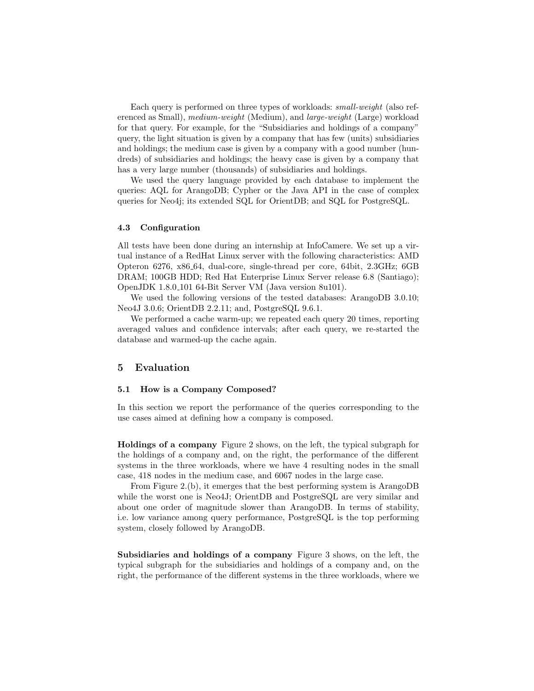Each query is performed on three types of workloads: small-weight (also referenced as Small), medium-weight (Medium), and large-weight (Large) workload for that query. For example, for the "Subsidiaries and holdings of a company" query, the light situation is given by a company that has few (units) subsidiaries and holdings; the medium case is given by a company with a good number (hundreds) of subsidiaries and holdings; the heavy case is given by a company that has a very large number (thousands) of subsidiaries and holdings.

We used the query language provided by each database to implement the queries: AQL for ArangoDB; Cypher or the Java API in the case of complex queries for Neo4j; its extended SQL for OrientDB; and SQL for PostgreSQL.

#### 4.3 Configuration

All tests have been done during an internship at InfoCamere. We set up a virtual instance of a RedHat Linux server with the following characteristics: AMD Opteron 6276, x86 64, dual-core, single-thread per core, 64bit, 2.3GHz; 6GB DRAM; 100GB HDD; Red Hat Enterprise Linux Server release 6.8 (Santiago); OpenJDK 1.8.0 101 64-Bit Server VM (Java version 8u101).

We used the following versions of the tested databases: ArangoDB 3.0.10; Neo4J 3.0.6; OrientDB 2.2.11; and, PostgreSQL 9.6.1.

We performed a cache warm-up; we repeated each query 20 times, reporting averaged values and confidence intervals; after each query, we re-started the database and warmed-up the cache again.

## 5 Evaluation

#### 5.1 How is a Company Composed?

In this section we report the performance of the queries corresponding to the use cases aimed at defining how a company is composed.

Holdings of a company Figure 2 shows, on the left, the typical subgraph for the holdings of a company and, on the right, the performance of the different systems in the three workloads, where we have 4 resulting nodes in the small case, 418 nodes in the medium case, and 6067 nodes in the large case.

From Figure 2.(b), it emerges that the best performing system is ArangoDB while the worst one is Neo4J; OrientDB and PostgreSQL are very similar and about one order of magnitude slower than ArangoDB. In terms of stability, i.e. low variance among query performance, PostgreSQL is the top performing system, closely followed by ArangoDB.

Subsidiaries and holdings of a company Figure 3 shows, on the left, the typical subgraph for the subsidiaries and holdings of a company and, on the right, the performance of the different systems in the three workloads, where we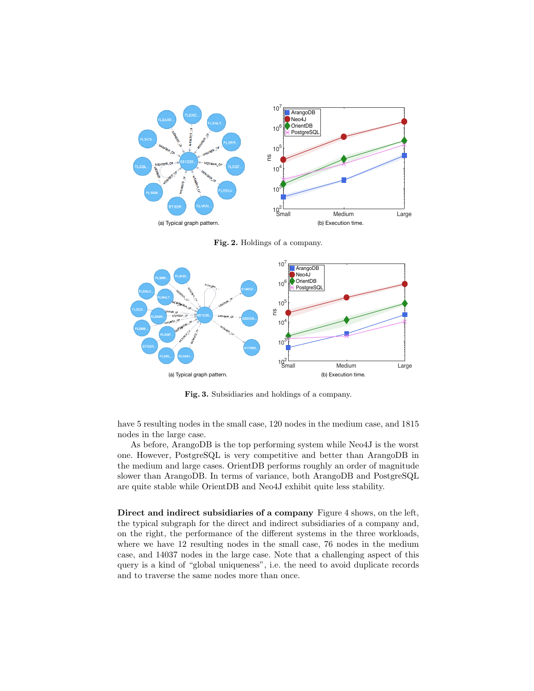

Fig. 2. Holdings of a company.



Fig. 3. Subsidiaries and holdings of a company.

have 5 resulting nodes in the small case, 120 nodes in the medium case, and 1815 nodes in the large case.

As before, ArangoDB is the top performing system while Neo4J is the worst one. However, PostgreSQL is very competitive and better than ArangoDB in the medium and large cases. OrientDB performs roughly an order of magnitude slower than ArangoDB. In terms of variance, both ArangoDB and PostgreSQL are quite stable while OrientDB and Neo4J exhibit quite less stability.

Direct and indirect subsidiaries of a company Figure 4 shows, on the left, the typical subgraph for the direct and indirect subsidiaries of a company and, on the right, the performance of the different systems in the three workloads, where we have 12 resulting nodes in the small case, 76 nodes in the medium case, and 14037 nodes in the large case. Note that a challenging aspect of this query is a kind of "global uniqueness", i.e. the need to avoid duplicate records and to traverse the same nodes more than once.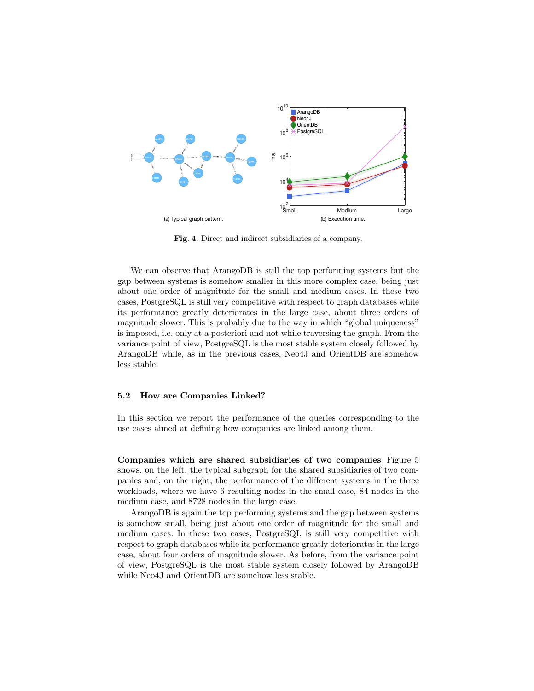

Fig. 4. Direct and indirect subsidiaries of a company.

We can observe that ArangoDB is still the top performing systems but the gap between systems is somehow smaller in this more complex case, being just about one order of magnitude for the small and medium cases. In these two cases, PostgreSQL is still very competitive with respect to graph databases while its performance greatly deteriorates in the large case, about three orders of magnitude slower. This is probably due to the way in which "global uniqueness" is imposed, i.e. only at a posteriori and not while traversing the graph. From the variance point of view, PostgreSQL is the most stable system closely followed by ArangoDB while, as in the previous cases, Neo4J and OrientDB are somehow less stable.

#### 5.2 How are Companies Linked?

In this section we report the performance of the queries corresponding to the use cases aimed at defining how companies are linked among them.

Companies which are shared subsidiaries of two companies Figure 5 shows, on the left, the typical subgraph for the shared subsidiaries of two companies and, on the right, the performance of the different systems in the three workloads, where we have 6 resulting nodes in the small case, 84 nodes in the medium case, and 8728 nodes in the large case.

ArangoDB is again the top performing systems and the gap between systems is somehow small, being just about one order of magnitude for the small and medium cases. In these two cases, PostgreSQL is still very competitive with respect to graph databases while its performance greatly deteriorates in the large case, about four orders of magnitude slower. As before, from the variance point of view, PostgreSQL is the most stable system closely followed by ArangoDB while Neo4J and OrientDB are somehow less stable.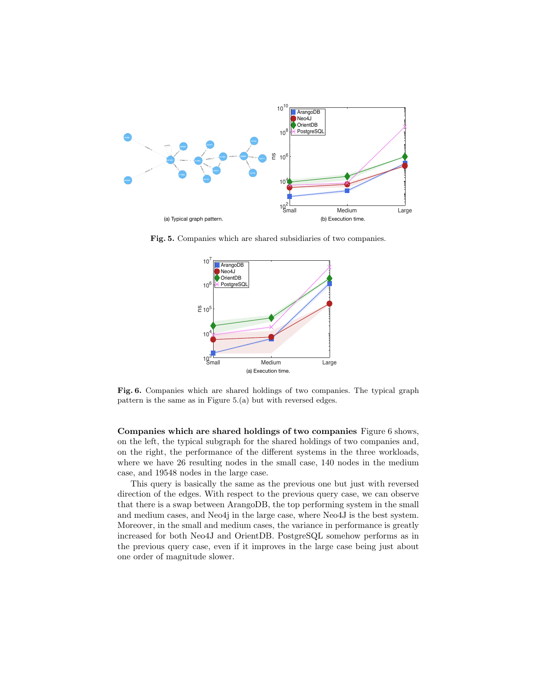

Fig. 5. Companies which are shared subsidiaries of two companies.



Fig. 6. Companies which are shared holdings of two companies. The typical graph pattern is the same as in Figure 5.(a) but with reversed edges.

Companies which are shared holdings of two companies Figure 6 shows, on the left, the typical subgraph for the shared holdings of two companies and, on the right, the performance of the different systems in the three workloads, where we have 26 resulting nodes in the small case, 140 nodes in the medium case, and 19548 nodes in the large case.

This query is basically the same as the previous one but just with reversed direction of the edges. With respect to the previous query case, we can observe that there is a swap between ArangoDB, the top performing system in the small and medium cases, and Neo4j in the large case, where Neo4J is the best system. Moreover, in the small and medium cases, the variance in performance is greatly increased for both Neo4J and OrientDB. PostgreSQL somehow performs as in the previous query case, even if it improves in the large case being just about one order of magnitude slower.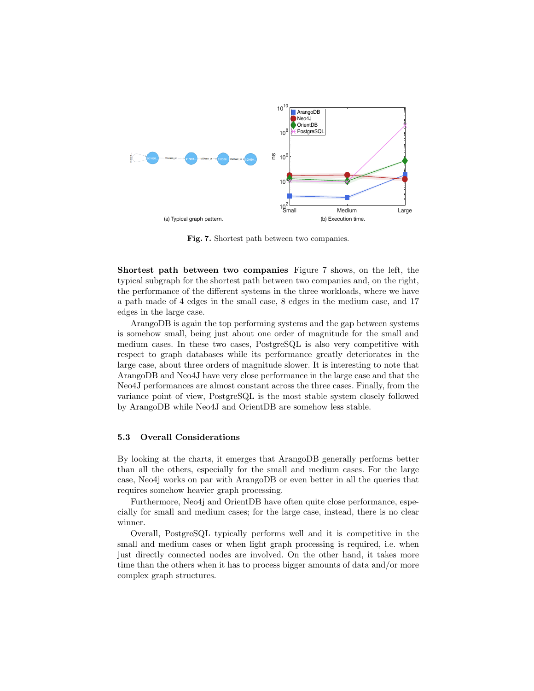

Fig. 7. Shortest path between two companies.

Shortest path between two companies Figure 7 shows, on the left, the typical subgraph for the shortest path between two companies and, on the right, the performance of the different systems in the three workloads, where we have a path made of 4 edges in the small case, 8 edges in the medium case, and 17 edges in the large case.

ArangoDB is again the top performing systems and the gap between systems is somehow small, being just about one order of magnitude for the small and medium cases. In these two cases, PostgreSQL is also very competitive with respect to graph databases while its performance greatly deteriorates in the large case, about three orders of magnitude slower. It is interesting to note that ArangoDB and Neo4J have very close performance in the large case and that the Neo4J performances are almost constant across the three cases. Finally, from the variance point of view, PostgreSQL is the most stable system closely followed by ArangoDB while Neo4J and OrientDB are somehow less stable.

#### 5.3 Overall Considerations

By looking at the charts, it emerges that ArangoDB generally performs better than all the others, especially for the small and medium cases. For the large case, Neo4j works on par with ArangoDB or even better in all the queries that requires somehow heavier graph processing.

Furthermore, Neo4j and OrientDB have often quite close performance, especially for small and medium cases; for the large case, instead, there is no clear winner.

Overall, PostgreSQL typically performs well and it is competitive in the small and medium cases or when light graph processing is required, i.e. when just directly connected nodes are involved. On the other hand, it takes more time than the others when it has to process bigger amounts of data and/or more complex graph structures.